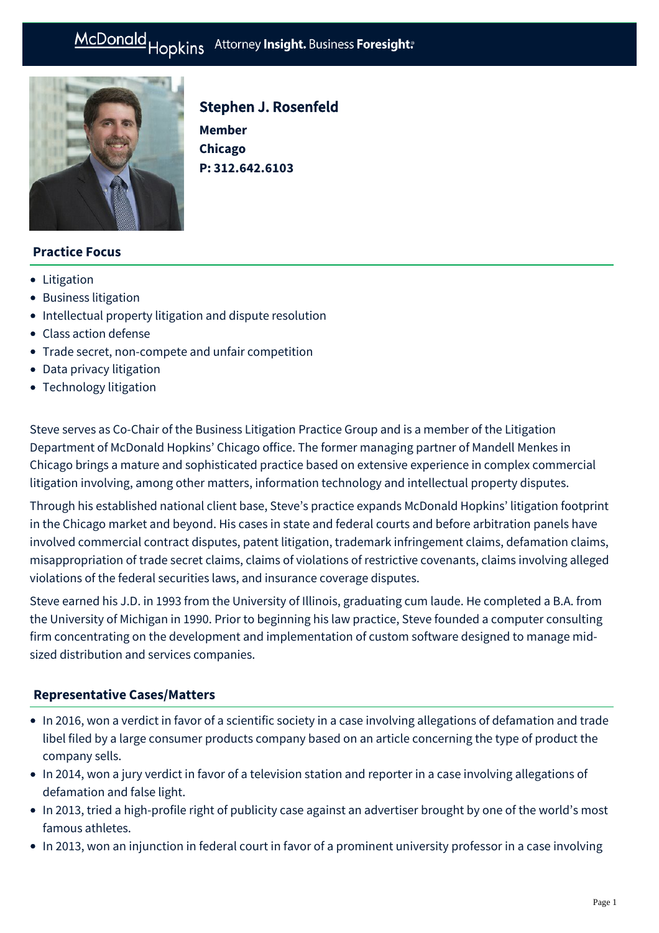#### Hopkins Attorney Insight. Business Foresight: McDonald

**P: [312.642.6103](tel:312.642.6103)**

**Member Chicago** 

Stephen J. Rosenfeld



# **Practice Focus**

- [Litigation](https://www.mcdonaldhopkins.com/Expertise/Litigation)
- [Business litigation](https://www.mcdonaldhopkins.com/Expertise/Litigation/Business-litigation)
- [Intellectual property litigation and dispute resolution](https://www.mcdonaldhopkins.com/Expertise/Intellectual-property/Intellectual-property-litigation-and-dispute-resol)
- [Class action defense](https://www.mcdonaldhopkins.com/Expertise/Litigation/Class-action-defense)
- [Trade secret, non-compete and unfair competition](https://www.mcdonaldhopkins.com/Expertise/Litigation/Tradesecret-noncompete-unfair-competition)
- [Data privacy litigation](https://www.mcdonaldhopkins.com/Expertise/Data-privacy-and-cybersecurity/Data-privacy-litigation)
- [Technology litigation](https://www.mcdonaldhopkins.com/Expertise/Litigation/Technology-litigation)

Steve serves as Co-Chair of the Business Litigation Practice Group and is a member of the Litigation Department of McDonald Hopkins' Chicago office. The former managing partner of Mandell Menkes in Chicago brings a mature and sophisticated practice based on extensive experience in complex commercial litigation involving, among other matters, information technology and intellectual property disputes.

Through his established national client base, Steve's practice expands McDonald Hopkins' litigation footprint in the Chicago market and beyond. His cases in state and federal courts and before arbitration panels have involved commercial contract disputes, patent litigation, trademark infringement claims, defamation claims, misappropriation of trade secret claims, claims of violations of restrictive covenants, claims involving alleged violations of the federal securities laws, and insurance coverage disputes.

Steve earned his J.D. in 1993 from the University of Illinois, graduating cum laude. He completed a B.A. from the University of Michigan in 1990. Prior to beginning his law practice, Steve founded a computer consulting firm concentrating on the development and implementation of custom software designed to manage midsized distribution and services companies.

### **[Representative Cases/Matters](#page-0-0)**

- <span id="page-0-0"></span>• In 2016, won a verdict in favor of a scientific society in a case involving allegations of defamation and trade libel filed by a large consumer products company based on an article concerning the type of product the company sells.
- In 2014, won a jury verdict in favor of a television station and reporter in a case involving allegations of defamation and false light.
- In 2013, tried a high-profile right of publicity case against an advertiser brought by one of the world's most famous athletes.
- In 2013, won an injunction in federal court in favor of a prominent university professor in a case involving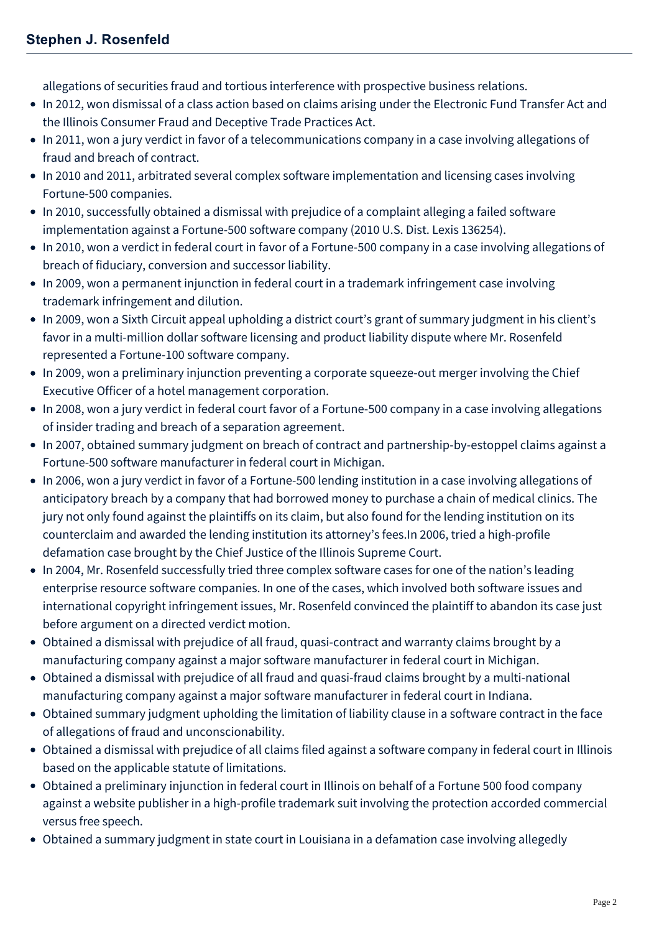allegations of securities fraud and tortious interference with prospective business relations.

- In 2012, won dismissal of a class action based on claims arising under the Electronic Fund Transfer Act and the Illinois Consumer Fraud and Deceptive Trade Practices Act.
- In 2011, won a jury verdict in favor of a telecommunications company in a case involving allegations of fraud and breach of contract.
- In 2010 and 2011, arbitrated several complex software implementation and licensing cases involving Fortune-500 companies.
- In 2010, successfully obtained a dismissal with prejudice of a complaint alleging a failed software implementation against a Fortune-500 software company (2010 U.S. Dist. Lexis 136254).
- In 2010, won a verdict in federal court in favor of a Fortune-500 company in a case involving allegations of breach of fiduciary, conversion and successor liability.
- In 2009, won a permanent injunction in federal court in a trademark infringement case involving trademark infringement and dilution.
- In 2009, won a Sixth Circuit appeal upholding a district court's grant of summary judgment in his client's favor in a multi-million dollar software licensing and product liability dispute where Mr. Rosenfeld represented a Fortune-100 software company.
- In 2009, won a preliminary injunction preventing a corporate squeeze-out merger involving the Chief Executive Officer of a hotel management corporation.
- In 2008, won a jury verdict in federal court favor of a Fortune-500 company in a case involving allegations of insider trading and breach of a separation agreement.
- In 2007, obtained summary judgment on breach of contract and partnership-by-estoppel claims against a Fortune-500 software manufacturer in federal court in Michigan.
- In 2006, won a jury verdict in favor of a Fortune-500 lending institution in a case involving allegations of anticipatory breach by a company that had borrowed money to purchase a chain of medical clinics. The jury not only found against the plaintiffs on its claim, but also found for the lending institution on its counterclaim and awarded the lending institution its attorney's fees.In 2006, tried a high-profile defamation case brought by the Chief Justice of the Illinois Supreme Court.
- In 2004, Mr. Rosenfeld successfully tried three complex software cases for one of the nation's leading enterprise resource software companies. In one of the cases, which involved both software issues and international copyright infringement issues, Mr. Rosenfeld convinced the plaintiff to abandon its case just before argument on a directed verdict motion.
- Obtained a dismissal with prejudice of all fraud, quasi-contract and warranty claims brought by a manufacturing company against a major software manufacturer in federal court in Michigan.
- Obtained a dismissal with prejudice of all fraud and quasi-fraud claims brought by a multi-national manufacturing company against a major software manufacturer in federal court in Indiana.
- Obtained summary judgment upholding the limitation of liability clause in a software contract in the face of allegations of fraud and unconscionability.
- Obtained a dismissal with prejudice of all claims filed against a software company in federal court in Illinois based on the applicable statute of limitations.
- Obtained a preliminary injunction in federal court in Illinois on behalf of a Fortune 500 food company against a website publisher in a high-profile trademark suit involving the protection accorded commercial versus free speech.
- Obtained a summary judgment in state court in Louisiana in a defamation case involving allegedly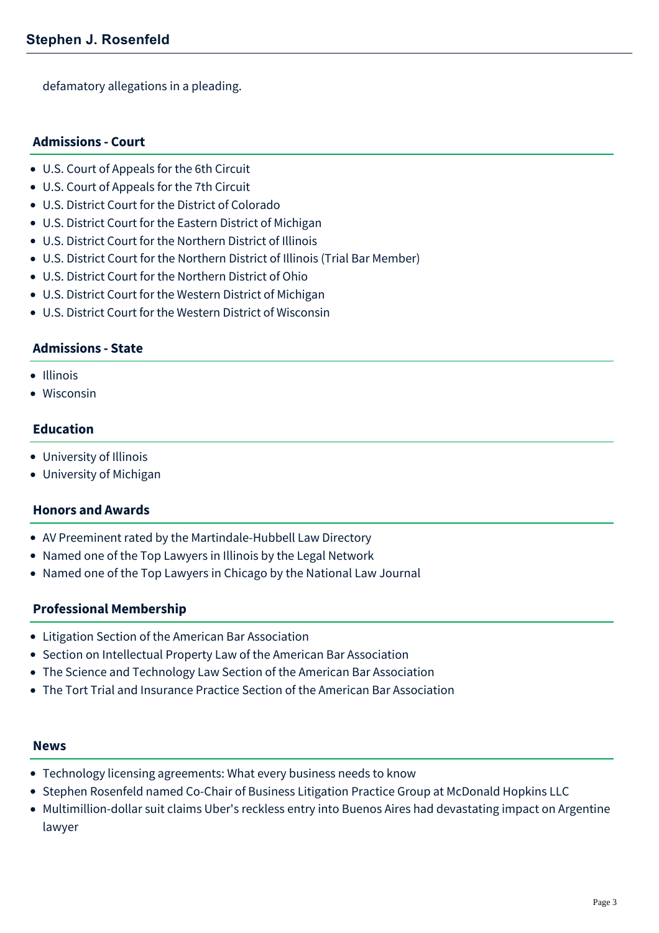defamatory allegations in a pleading.

## **Admissions - Court**

- U.S. Court of Appeals for the 6th Circuit
- U.S. Court of Appeals for the 7th Circuit
- U.S. District Court for the District of Colorado
- U.S. District Court for the Eastern District of Michigan
- U.S. District Court for the Northern District of Illinois
- U.S. District Court for the Northern District of Illinois (Trial Bar Member)
- U.S. District Court for the Northern District of Ohio
- U.S. District Court for the Western District of Michigan
- U.S. District Court for the Western District of Wisconsin

## **Admissions - State**

- Illinois
- Wisconsin

### **Education**

- University of Illinois
- University of Michigan

### **Honors and Awards**

- AV Preeminent rated by the Martindale-Hubbell Law Directory
- Named one of the Top Lawyers in Illinois by the Legal Network
- Named one of the Top Lawyers in Chicago by the National Law Journal

### **Professional Membership**

- Litigation Section of the American Bar Association
- Section on Intellectual Property Law of the American Bar Association
- The Science and Technology Law Section of the American Bar Association
- The Tort Trial and Insurance Practice Section of the American Bar Association

#### **News**

- [Technology licensing agreements: What every business needs to know](https://www.mcdonaldhopkins.com/Insights/March-2022/Technology-licensing-agreements-What-every-busines)
- [Stephen Rosenfeld named Co-Chair of Business Litigation Practice Group at McDonald Hopkins LLC](https://www.mcdonaldhopkins.com/Insights/March-2021/Stephen-Rosenfeld-named-CoChair-of-Business-Liti)
- [Multimillion-dollar suit claims Uber's reckless entry into Buenos Aires had devastating impact on Argentine](https://www.mcdonaldhopkins.com/Insights/April-2019/Suit-claims-Uber-reckless-entry-into-Buenos-Aires) lawyer